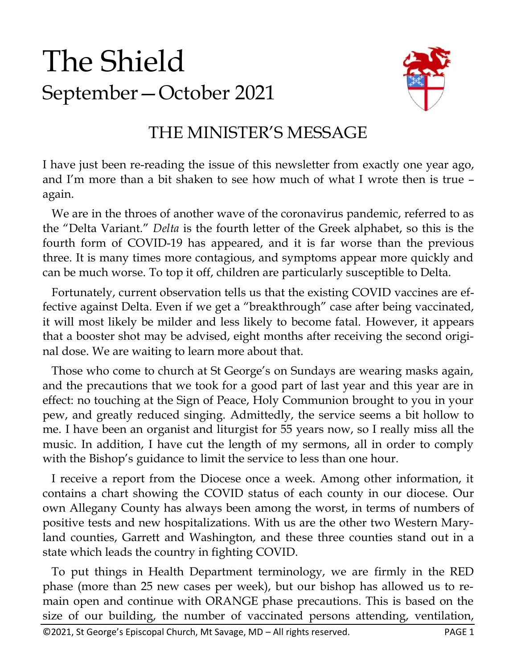# The Shield September—October 2021



#### THE MINISTER'S MESSAGE

I have just been re-reading the issue of this newsletter from exactly one year ago, and I'm more than a bit shaken to see how much of what I wrote then is true – again.

 We are in the throes of another wave of the coronavirus pandemic, referred to as the "Delta Variant." *Delta* is the fourth letter of the Greek alphabet, so this is the fourth form of COVID-19 has appeared, and it is far worse than the previous three. It is many times more contagious, and symptoms appear more quickly and can be much worse. To top it off, children are particularly susceptible to Delta.

 Fortunately, current observation tells us that the existing COVID vaccines are effective against Delta. Even if we get a "breakthrough" case after being vaccinated, it will most likely be milder and less likely to become fatal. However, it appears that a booster shot may be advised, eight months after receiving the second original dose. We are waiting to learn more about that.

 Those who come to church at St George's on Sundays are wearing masks again, and the precautions that we took for a good part of last year and this year are in effect: no touching at the Sign of Peace, Holy Communion brought to you in your pew, and greatly reduced singing. Admittedly, the service seems a bit hollow to me. I have been an organist and liturgist for 55 years now, so I really miss all the music. In addition, I have cut the length of my sermons, all in order to comply with the Bishop's guidance to limit the service to less than one hour.

 I receive a report from the Diocese once a week. Among other information, it contains a chart showing the COVID status of each county in our diocese. Our own Allegany County has always been among the worst, in terms of numbers of positive tests and new hospitalizations. With us are the other two Western Maryland counties, Garrett and Washington, and these three counties stand out in a state which leads the country in fighting COVID.

 To put things in Health Department terminology, we are firmly in the RED phase (more than 25 new cases per week), but our bishop has allowed us to remain open and continue with ORANGE phase precautions. This is based on the size of our building, the number of vaccinated persons attending, ventilation,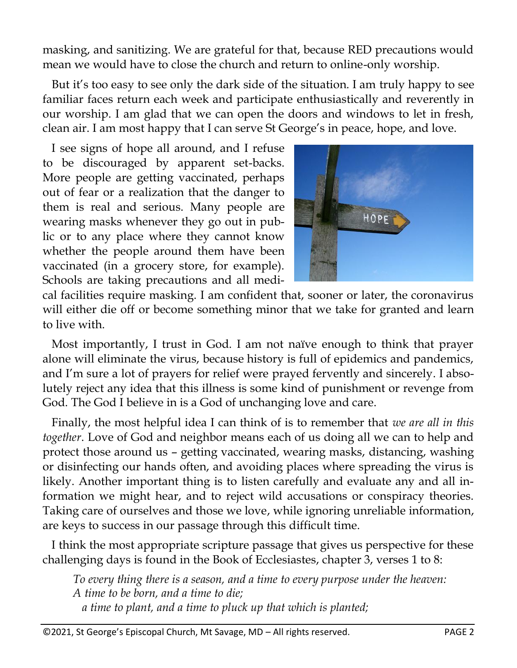masking, and sanitizing. We are grateful for that, because RED precautions would mean we would have to close the church and return to online-only worship.

 But it's too easy to see only the dark side of the situation. I am truly happy to see familiar faces return each week and participate enthusiastically and reverently in our worship. I am glad that we can open the doors and windows to let in fresh, clean air. I am most happy that I can serve St George's in peace, hope, and love.

 I see signs of hope all around, and I refuse to be discouraged by apparent set-backs. More people are getting vaccinated, perhaps out of fear or a realization that the danger to them is real and serious. Many people are wearing masks whenever they go out in public or to any place where they cannot know whether the people around them have been vaccinated (in a grocery store, for example). Schools are taking precautions and all medi-



cal facilities require masking. I am confident that, sooner or later, the coronavirus will either die off or become something minor that we take for granted and learn to live with.

 Most importantly, I trust in God. I am not naïve enough to think that prayer alone will eliminate the virus, because history is full of epidemics and pandemics, and I'm sure a lot of prayers for relief were prayed fervently and sincerely. I absolutely reject any idea that this illness is some kind of punishment or revenge from God. The God I believe in is a God of unchanging love and care.

 Finally, the most helpful idea I can think of is to remember that *we are all in this together*. Love of God and neighbor means each of us doing all we can to help and protect those around us – getting vaccinated, wearing masks, distancing, washing or disinfecting our hands often, and avoiding places where spreading the virus is likely. Another important thing is to listen carefully and evaluate any and all information we might hear, and to reject wild accusations or conspiracy theories. Taking care of ourselves and those we love, while ignoring unreliable information, are keys to success in our passage through this difficult time.

 I think the most appropriate scripture passage that gives us perspective for these challenging days is found in the Book of Ecclesiastes, chapter 3, verses 1 to 8:

*To every thing there is a season, and a time to every purpose under the heaven: A time to be born, and a time to die; a time to plant, and a time to pluck up that which is planted;*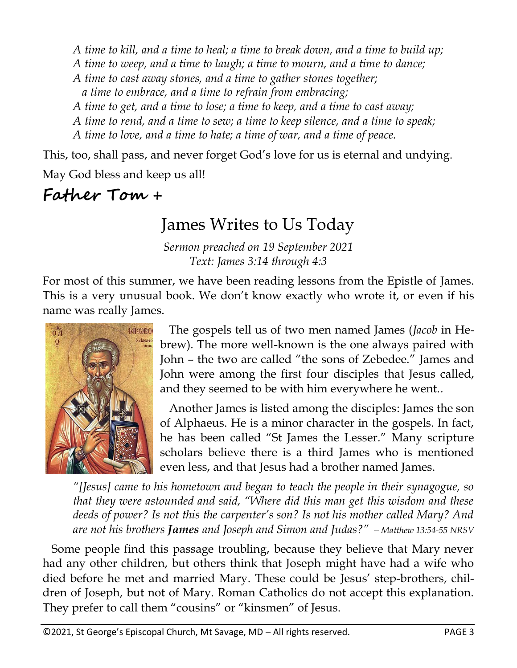*A time to kill, and a time to heal; a time to break down, and a time to build up;*

- *A time to weep, and a time to laugh; a time to mourn, and a time to dance;*
- *A time to cast away stones, and a time to gather stones together;*

 *a time to embrace, and a time to refrain from embracing;*

*A time to get, and a time to lose; a time to keep, and a time to cast away;*

*A time to rend, and a time to sew; a time to keep silence, and a time to speak;*

*A time to love, and a time to hate; a time of war, and a time of peace.*

This, too, shall pass, and never forget God's love for us is eternal and undying.

May God bless and keep us all!

**Father Tom +**

#### James Writes to Us Today

*Sermon preached on 19 September 2021 Text: James 3:14 through 4:3*

For most of this summer, we have been reading lessons from the Epistle of James. This is a very unusual book. We don't know exactly who wrote it, or even if his name was really James.



 The gospels tell us of two men named James (*Jacob* in Hebrew). The more well-known is the one always paired with John – the two are called "the sons of Zebedee." James and John were among the first four disciples that Jesus called, and they seemed to be with him everywhere he went..

 Another James is listed among the disciples: James the son of Alphaeus. He is a minor character in the gospels. In fact, he has been called "St James the Lesser." Many scripture scholars believe there is a third James who is mentioned even less, and that Jesus had a brother named James.

*"[Jesus] came to his hometown and began to teach the people in their synagogue, so that they were astounded and said, "Where did this man get this wisdom and these deeds of power? Is not this the carpenter's son? Is not his mother called Mary? And are not his brothers James and Joseph and Simon and Judas?" —Matthew 13:54-55 NRSV*

 Some people find this passage troubling, because they believe that Mary never had any other children, but others think that Joseph might have had a wife who died before he met and married Mary. These could be Jesus' step-brothers, children of Joseph, but not of Mary. Roman Catholics do not accept this explanation. They prefer to call them "cousins" or "kinsmen" of Jesus.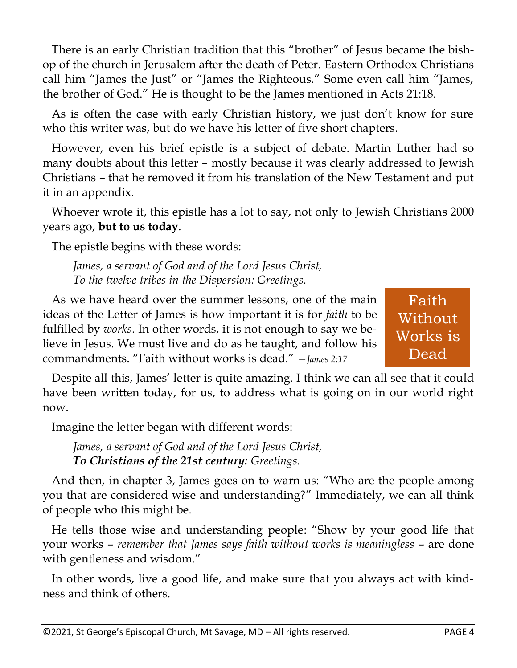There is an early Christian tradition that this "brother" of Jesus became the bishop of the church in Jerusalem after the death of Peter. Eastern Orthodox Christians call him "James the Just" or "James the Righteous." Some even call him "James, the brother of God." He is thought to be the James mentioned in Acts 21:18.

 As is often the case with early Christian history, we just don't know for sure who this writer was, but do we have his letter of five short chapters.

 However, even his brief epistle is a subject of debate. Martin Luther had so many doubts about this letter – mostly because it was clearly addressed to Jewish Christians – that he removed it from his translation of the New Testament and put it in an appendix.

 Whoever wrote it, this epistle has a lot to say, not only to Jewish Christians 2000 years ago, **but to us today**.

The epistle begins with these words:

*James, a servant of God and of the Lord Jesus Christ, To the twelve tribes in the Dispersion: Greetings.*

 As we have heard over the summer lessons, one of the main ideas of the Letter of James is how important it is for *faith* to be fulfilled by *works*. In other words, it is not enough to say we believe in Jesus. We must live and do as he taught, and follow his commandments. "Faith without works is dead." —*James 2:17*

Faith **Without** Works is Dead

 Despite all this, James' letter is quite amazing. I think we can all see that it could have been written today, for us, to address what is going on in our world right now.

Imagine the letter began with different words:

*James, a servant of God and of the Lord Jesus Christ, To Christians of the 21st century: Greetings.*

 And then, in chapter 3, James goes on to warn us: "Who are the people among you that are considered wise and understanding?" Immediately, we can all think of people who this might be.

 He tells those wise and understanding people: "Show by your good life that your works – *remember that James says faith without works is meaningless* – are done with gentleness and wisdom."

 In other words, live a good life, and make sure that you always act with kindness and think of others.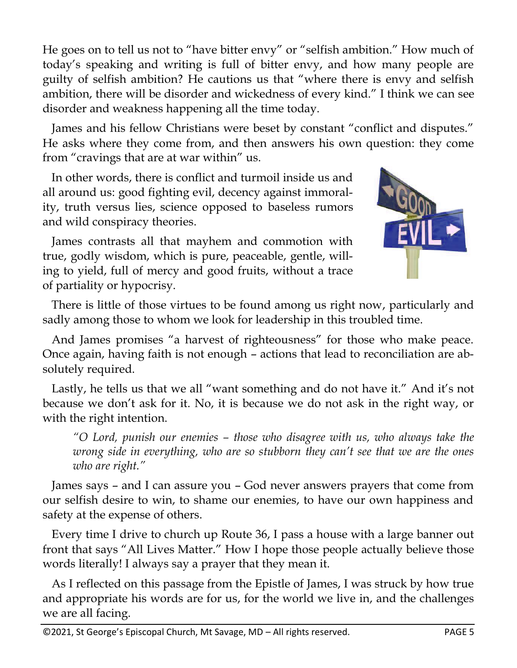He goes on to tell us not to "have bitter envy" or "selfish ambition." How much of today's speaking and writing is full of bitter envy, and how many people are guilty of selfish ambition? He cautions us that "where there is envy and selfish ambition, there will be disorder and wickedness of every kind." I think we can see disorder and weakness happening all the time today.

 James and his fellow Christians were beset by constant "conflict and disputes." He asks where they come from, and then answers his own question: they come from "cravings that are at war within" us.

 In other words, there is conflict and turmoil inside us and all around us: good fighting evil, decency against immorality, truth versus lies, science opposed to baseless rumors and wild conspiracy theories.

 James contrasts all that mayhem and commotion with true, godly wisdom, which is pure, peaceable, gentle, willing to yield, full of mercy and good fruits, without a trace of partiality or hypocrisy.



 There is little of those virtues to be found among us right now, particularly and sadly among those to whom we look for leadership in this troubled time.

 And James promises "a harvest of righteousness" for those who make peace. Once again, having faith is not enough – actions that lead to reconciliation are absolutely required.

 Lastly, he tells us that we all "want something and do not have it." And it's not because we don't ask for it. No, it is because we do not ask in the right way, or with the right intention.

*"O Lord, punish our enemies – those who disagree with us, who always take the wrong side in everything, who are so stubborn they can't see that we are the ones who are right."*

 James says – and I can assure you – God never answers prayers that come from our selfish desire to win, to shame our enemies, to have our own happiness and safety at the expense of others.

 Every time I drive to church up Route 36, I pass a house with a large banner out front that says "All Lives Matter." How I hope those people actually believe those words literally! I always say a prayer that they mean it.

 As I reflected on this passage from the Epistle of James, I was struck by how true and appropriate his words are for us, for the world we live in, and the challenges we are all facing.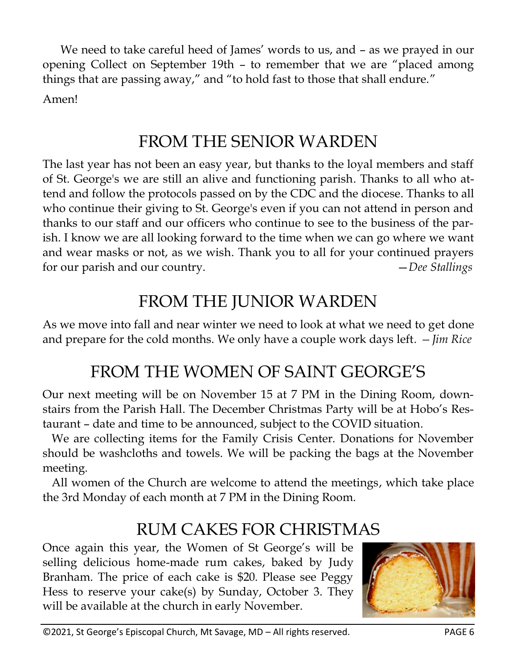We need to take careful heed of James' words to us, and – as we prayed in our opening Collect on September 19th – to remember that we are "placed among things that are passing away," and "to hold fast to those that shall endure." Amen!

#### FROM THE SENIOR WARDEN

The last year has not been an easy year, but thanks to the loyal members and staff of St. George's we are still an alive and functioning parish. Thanks to all who attend and follow the protocols passed on by the CDC and the diocese. Thanks to all who continue their giving to St. George's even if you can not attend in person and thanks to our staff and our officers who continue to see to the business of the parish. I know we are all looking forward to the time when we can go where we want and wear masks or not, as we wish. Thank you to all for your continued prayers for our parish and our country. —*Dee Stallings*

## FROM THE JUNIOR WARDEN

As we move into fall and near winter we need to look at what we need to get done and prepare for the cold months. We only have a couple work days left*. —Jim Rice*

### FROM THE WOMEN OF SAINT GEORGE'S

Our next meeting will be on November 15 at 7 PM in the Dining Room, downstairs from the Parish Hall. The December Christmas Party will be at Hobo's Restaurant – date and time to be announced, subject to the COVID situation.

 We are collecting items for the Family Crisis Center. Donations for November should be washcloths and towels. We will be packing the bags at the November meeting.

 All women of the Church are welcome to attend the meetings, which take place the 3rd Monday of each month at 7 PM in the Dining Room.

#### RUM CAKES FOR CHRISTMAS

Once again this year, the Women of St George's will be selling delicious home-made rum cakes, baked by Judy Branham. The price of each cake is \$20. Please see Peggy Hess to reserve your cake(s) by Sunday, October 3. They will be available at the church in early November.

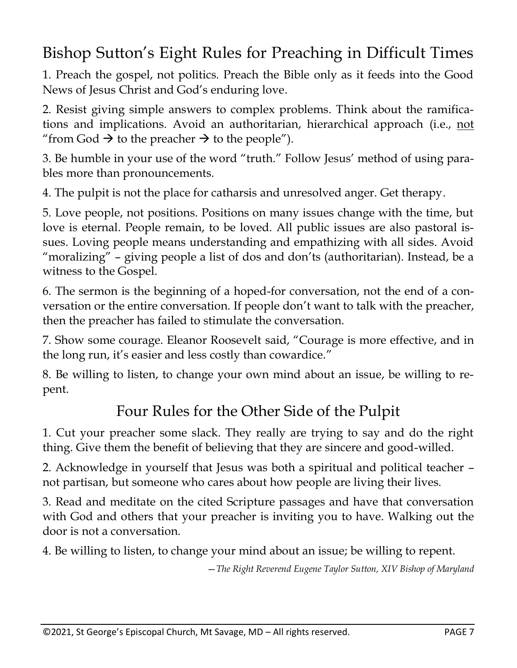#### Bishop Sutton's Eight Rules for Preaching in Difficult Times

1. Preach the gospel, not politics. Preach the Bible only as it feeds into the Good News of Jesus Christ and God's enduring love.

2. Resist giving simple answers to complex problems. Think about the ramifications and implications. Avoid an authoritarian, hierarchical approach (i.e., not "from God  $\rightarrow$  to the preacher  $\rightarrow$  to the people").

3. Be humble in your use of the word "truth." Follow Jesus' method of using parables more than pronouncements.

4. The pulpit is not the place for catharsis and unresolved anger. Get therapy.

5. Love people, not positions. Positions on many issues change with the time, but love is eternal. People remain, to be loved. All public issues are also pastoral issues. Loving people means understanding and empathizing with all sides. Avoid "moralizing" – giving people a list of dos and don'ts (authoritarian). Instead, be a witness to the Gospel.

6. The sermon is the beginning of a hoped-for conversation, not the end of a conversation or the entire conversation. If people don't want to talk with the preacher, then the preacher has failed to stimulate the conversation.

7. Show some courage. Eleanor Roosevelt said, "Courage is more effective, and in the long run, it's easier and less costly than cowardice."

8. Be willing to listen, to change your own mind about an issue, be willing to repent.

#### Four Rules for the Other Side of the Pulpit

1. Cut your preacher some slack. They really are trying to say and do the right thing. Give them the benefit of believing that they are sincere and good-willed.

2. Acknowledge in yourself that Jesus was both a spiritual and political teacher – not partisan, but someone who cares about how people are living their lives.

3. Read and meditate on the cited Scripture passages and have that conversation with God and others that your preacher is inviting you to have. Walking out the door is not a conversation.

4. Be willing to listen, to change your mind about an issue; be willing to repent.

—*The Right Reverend Eugene Taylor Sutton, XIV Bishop of Maryland*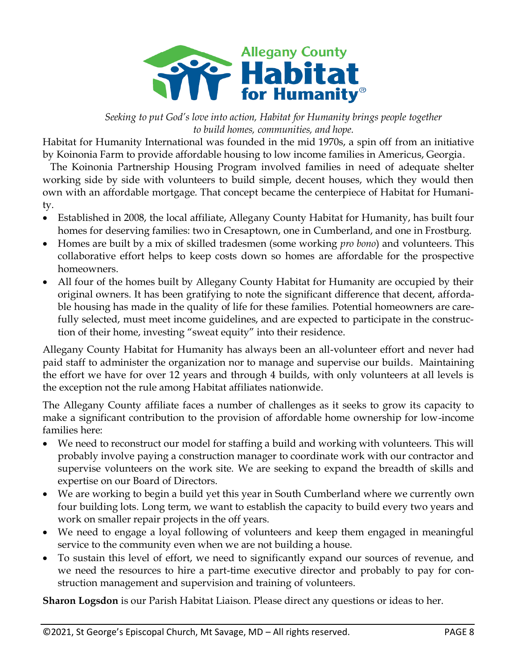

*Seeking to put God's love into action, Habitat for Humanity brings people together to build homes, communities, and hope.*

Habitat for Humanity International was founded in the mid 1970s, a spin off from an initiative by Koinonia Farm to provide affordable housing to low income families in Americus, Georgia.

 The Koinonia Partnership Housing Program involved families in need of adequate shelter working side by side with volunteers to build simple, decent houses, which they would then own with an affordable mortgage. That concept became the centerpiece of Habitat for Humanity.

- Established in 2008, the local affiliate, Allegany County Habitat for Humanity, has built four homes for deserving families: two in Cresaptown, one in Cumberland, and one in Frostburg.
- Homes are built by a mix of skilled tradesmen (some working *pro bono*) and volunteers. This collaborative effort helps to keep costs down so homes are affordable for the prospective homeowners.
- All four of the homes built by Allegany County Habitat for Humanity are occupied by their original owners. It has been gratifying to note the significant difference that decent, affordable housing has made in the quality of life for these families. Potential homeowners are carefully selected, must meet income guidelines, and are expected to participate in the construction of their home, investing "sweat equity" into their residence.

Allegany County Habitat for Humanity has always been an all-volunteer effort and never had paid staff to administer the organization nor to manage and supervise our builds. Maintaining the effort we have for over 12 years and through 4 builds, with only volunteers at all levels is the exception not the rule among Habitat affiliates nationwide.

The Allegany County affiliate faces a number of challenges as it seeks to grow its capacity to make a significant contribution to the provision of affordable home ownership for low-income families here:

- We need to reconstruct our model for staffing a build and working with volunteers. This will probably involve paying a construction manager to coordinate work with our contractor and supervise volunteers on the work site. We are seeking to expand the breadth of skills and expertise on our Board of Directors.
- We are working to begin a build yet this year in South Cumberland where we currently own four building lots. Long term, we want to establish the capacity to build every two years and work on smaller repair projects in the off years.
- We need to engage a loyal following of volunteers and keep them engaged in meaningful service to the community even when we are not building a house.
- To sustain this level of effort, we need to significantly expand our sources of revenue, and we need the resources to hire a part-time executive director and probably to pay for construction management and supervision and training of volunteers.

**Sharon Logsdon** is our Parish Habitat Liaison. Please direct any questions or ideas to her.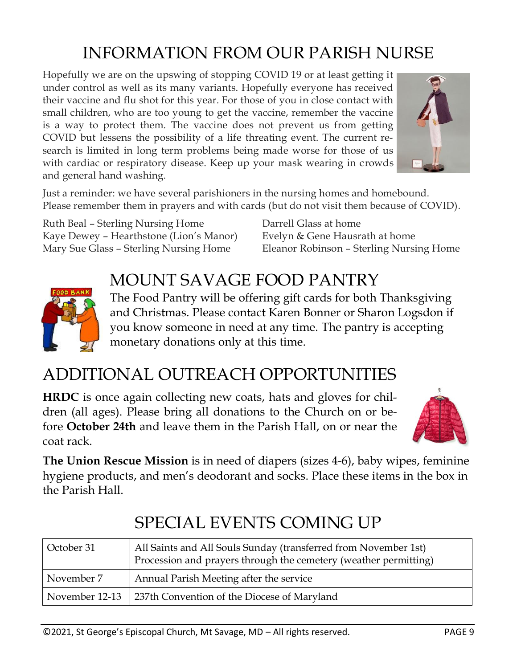## INFORMATION FROM OUR PARISH NURSE

Hopefully we are on the upswing of stopping COVID 19 or at least getting it under control as well as its many variants. Hopefully everyone has received their vaccine and flu shot for this year. For those of you in close contact with small children, who are too young to get the vaccine, remember the vaccine is a way to protect them. The vaccine does not prevent us from getting COVID but lessens the possibility of a life threating event. The current research is limited in long term problems being made worse for those of us with cardiac or respiratory disease. Keep up your mask wearing in crowds and general hand washing.



Just a reminder: we have several parishioners in the nursing homes and homebound. Please remember them in prayers and with cards (but do not visit them because of COVID).

Ruth Beal – Sterling Nursing Home Kaye Dewey – Hearthstone (Lion's Manor) Mary Sue Glass – Sterling Nursing Home

Darrell Glass at home Evelyn & Gene Hausrath at home Eleanor Robinson – Sterling Nursing Home

#### MOUNT SAVAGE FOOD PANTRY



The Food Pantry will be offering gift cards for both Thanksgiving and Christmas. Please contact Karen Bonner or Sharon Logsdon if you know someone in need at any time. The pantry is accepting monetary donations only at this time.

## ADDITIONAL OUTREACH OPPORTUNITIES

**HRDC** is once again collecting new coats, hats and gloves for children (all ages). Please bring all donations to the Church on or before **October 24th** and leave them in the Parish Hall, on or near the coat rack.



**The Union Rescue Mission** is in need of diapers (sizes 4-6), baby wipes, feminine hygiene products, and men's deodorant and socks. Place these items in the box in the Parish Hall.

| October 31 | All Saints and All Souls Sunday (transferred from November 1st)<br>Procession and prayers through the cemetery (weather permitting) |
|------------|-------------------------------------------------------------------------------------------------------------------------------------|
| November 7 | Annual Parish Meeting after the service                                                                                             |
|            | November 12-13   237th Convention of the Diocese of Maryland                                                                        |

### SPECIAL EVENTS COMING UP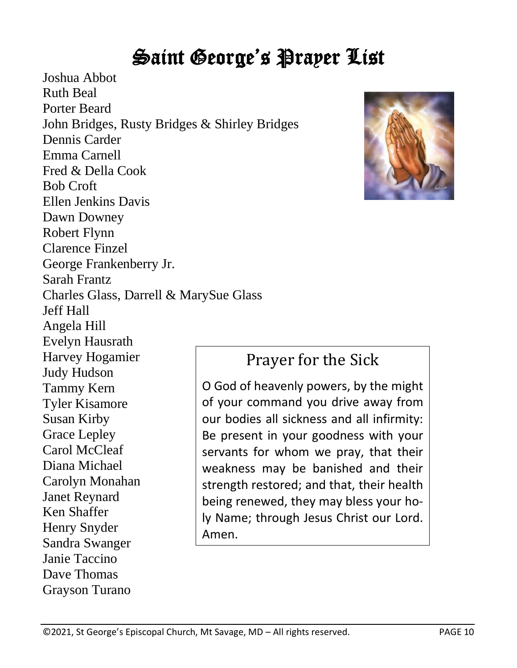# Saint George's Prayer List

Joshua Abbot Ruth Beal Porter Beard John Bridges, Rusty Bridges & Shirley Bridges Dennis Carder Emma Carnell Fred & Della Cook Bob Croft Ellen Jenkins Davis Dawn Downey Robert Flynn Clarence Finzel George Frankenberry Jr. Sarah Frantz Charles Glass, Darrell & MarySue Glass Jeff Hall Angela Hill Evelyn Hausrath Harvey Hogamier Judy Hudson Tammy Kern Tyler Kisamore Susan Kirby Grace Lepley Carol McCleaf Diana Michael Carolyn Monahan Janet Reynard Ken Shaffer Henry Snyder Sandra Swanger Janie Taccino Dave Thomas Grayson Turano Amen.



#### Prayer for the Sick

O God of heavenly powers, by the might of your command you drive away from our bodies all sickness and all infirmity: Be present in your goodness with your servants for whom we pray, that their weakness may be banished and their strength restored; and that, their health being renewed, they may bless your holy Name; through Jesus Christ our Lord.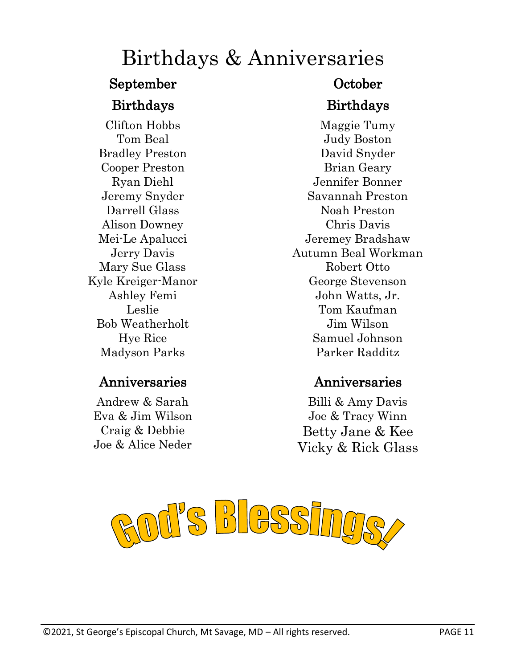## Birthdays & Anniversaries

# September October

Clifton Hobbs Tom Beal Bradley Preston Cooper Preston Ryan Diehl Jeremy Snyder Darrell Glass Alison Downey Mei-Le Apalucci Jerry Davis Mary Sue Glass Kyle Kreiger-Manor Ashley Femi Leslie Bob Weatherholt Hye Rice Madyson Parks

#### Anniversaries Anniversaries

Andrew & Sarah Eva & Jim Wilson Craig & Debbie Joe & Alice Neder

#### Birthdays Birthdays

Maggie Tumy Judy Boston David Snyder Brian Geary Jennifer Bonner Savannah Preston Noah Preston Chris Davis Jeremey Bradshaw Autumn Beal Workman Robert Otto George Stevenson John Watts, Jr. Tom Kaufman Jim Wilson Samuel Johnson Parker Radditz

Billi & Amy Davis Joe & Tracy Winn Betty Jane & Kee Vicky & Rick Glass